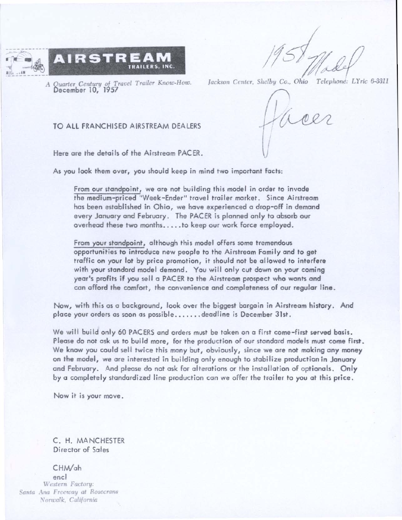

*A 8uartcr Century* of *Trat;eI Trailcr Knou.:·How.* ecember 10, 1957

*Jackson Center. S/ll!lby Co., Ohio Telephont:* LYric 6-3311

I

TO ALL FRANCHISED AIRSTREAM DEALERS

Here are the details of the Airstreom PACER.

As you look them over, you should keep in mind two important facts:

From our standpoint, we ore not building this model in order to invade the medium-priced "Week-Ender" travel trailer market. Since Airstream has been established in Ohio, we have experienced a drop-off in demand every January and February. The PACER is planned only to absorb our overhead these two months..... to keep our work force employed.

From your standpoint, althaugh this model offers some tremendous opportunities to introduce new people to the Airstream Fomily and to get traffic on your lot by price promotion, it should not be allowed to interfere with your standard model demand. You will only cut down on your coming year's profits if you sell a PACER to the Airstream prospect who wonts and can offord the comfort, the convenience and completeness of our regular line.

Now, with this as a background, look over the biggest bargain in Airstream history. And place your orders as soon as possible....... deadline is December 31st.

We will build only 60 PACERS and orders must be token on a first come-first served basis. Please do not ask us to build more, for the production of our standard models must come first. We know you could sell twice this many but, obviously, since we ore not making any money on the model, we are interested in building only enough to stabilize production in January and February. And please do not ask for alterations or the installation of optionals. Only by a completely standardized line production can we offer the trailer to you at this price.

Now it is your move.

C. H. MANCHESTER Director of Sales

CHM/ah

encl Western Factory: *Santa Ana Freeway at Rosecrans* Norwalk, California